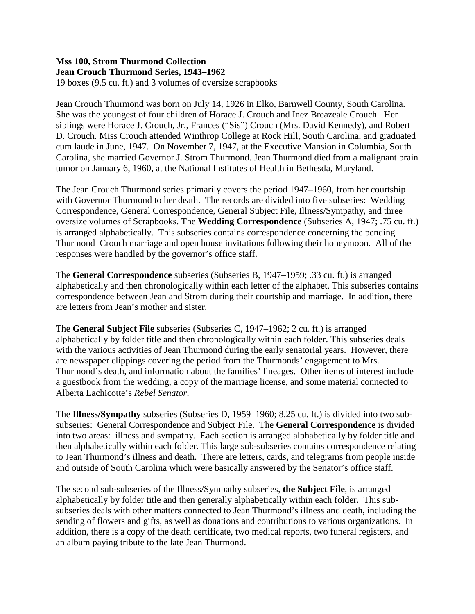19 boxes (9.5 cu. ft.) and 3 volumes of oversize scrapbooks

Jean Crouch Thurmond was born on July 14, 1926 in Elko, Barnwell County, South Carolina. She was the youngest of four children of Horace J. Crouch and Inez Breazeale Crouch. Her siblings were Horace J. Crouch, Jr., Frances ("Sis") Crouch (Mrs. David Kennedy), and Robert D. Crouch. Miss Crouch attended Winthrop College at Rock Hill, South Carolina, and graduated cum laude in June, 1947. On November 7, 1947, at the Executive Mansion in Columbia, South Carolina, she married Governor J. Strom Thurmond. Jean Thurmond died from a malignant brain tumor on January 6, 1960, at the National Institutes of Health in Bethesda, Maryland.

The Jean Crouch Thurmond series primarily covers the period 1947–1960, from her courtship with Governor Thurmond to her death. The records are divided into five subseries: Wedding Correspondence, General Correspondence, General Subject File, Illness/Sympathy, and three oversize volumes of Scrapbooks. The **Wedding Correspondence** (Subseries A, 1947; .75 cu. ft.) is arranged alphabetically. This subseries contains correspondence concerning the pending Thurmond–Crouch marriage and open house invitations following their honeymoon. All of the responses were handled by the governor's office staff.

The **General Correspondence** subseries (Subseries B, 1947–1959; .33 cu. ft.) is arranged alphabetically and then chronologically within each letter of the alphabet. This subseries contains correspondence between Jean and Strom during their courtship and marriage. In addition, there are letters from Jean's mother and sister.

The **General Subject File** subseries (Subseries C, 1947–1962; 2 cu. ft.) is arranged alphabetically by folder title and then chronologically within each folder. This subseries deals with the various activities of Jean Thurmond during the early senatorial years. However, there are newspaper clippings covering the period from the Thurmonds' engagement to Mrs. Thurmond's death, and information about the families' lineages. Other items of interest include a guestbook from the wedding, a copy of the marriage license, and some material connected to Alberta Lachicotte's *Rebel Senator*.

The **Illness/Sympathy** subseries (Subseries D, 1959–1960; 8.25 cu. ft.) is divided into two subsubseries: General Correspondence and Subject File. The **General Correspondence** is divided into two areas: illness and sympathy. Each section is arranged alphabetically by folder title and then alphabetically within each folder. This large sub-subseries contains correspondence relating to Jean Thurmond's illness and death. There are letters, cards, and telegrams from people inside and outside of South Carolina which were basically answered by the Senator's office staff.

The second sub-subseries of the Illness/Sympathy subseries, **the Subject File**, is arranged alphabetically by folder title and then generally alphabetically within each folder. This subsubseries deals with other matters connected to Jean Thurmond's illness and death, including the sending of flowers and gifts, as well as donations and contributions to various organizations. In addition, there is a copy of the death certificate, two medical reports, two funeral registers, and an album paying tribute to the late Jean Thurmond.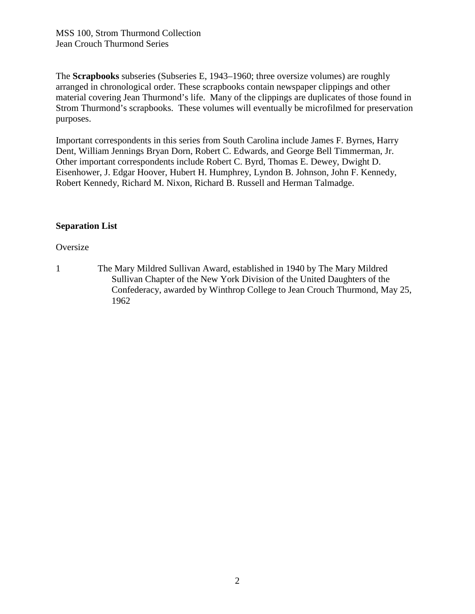The **Scrapbooks** subseries (Subseries E, 1943–1960; three oversize volumes) are roughly arranged in chronological order. These scrapbooks contain newspaper clippings and other material covering Jean Thurmond's life. Many of the clippings are duplicates of those found in Strom Thurmond's scrapbooks. These volumes will eventually be microfilmed for preservation purposes.

Important correspondents in this series from South Carolina include James F. Byrnes, Harry Dent, William Jennings Bryan Dorn, Robert C. Edwards, and George Bell Timmerman, Jr. Other important correspondents include Robert C. Byrd, Thomas E. Dewey, Dwight D. Eisenhower, J. Edgar Hoover, Hubert H. Humphrey, Lyndon B. Johnson, John F. Kennedy, Robert Kennedy, Richard M. Nixon, Richard B. Russell and Herman Talmadge.

#### **Separation List**

#### **Oversize**

1 The Mary Mildred Sullivan Award, established in 1940 by The Mary Mildred Sullivan Chapter of the New York Division of the United Daughters of the Confederacy, awarded by Winthrop College to Jean Crouch Thurmond, May 25, 1962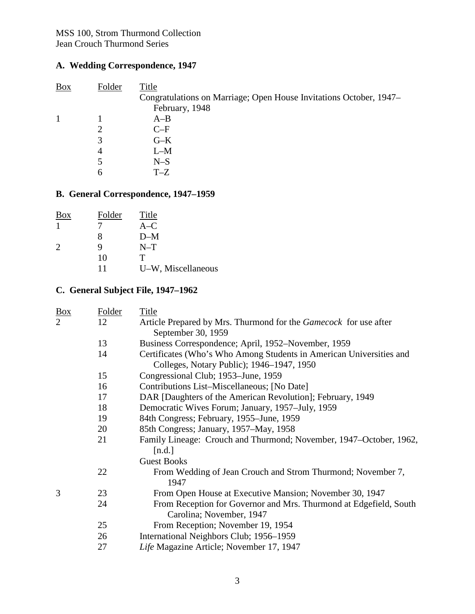## **A. Wedding Correspondence, 1947**

| <b>Box</b> | Folder | Title                                                              |
|------------|--------|--------------------------------------------------------------------|
|            |        | Congratulations on Marriage; Open House Invitations October, 1947– |
|            |        | February, 1948                                                     |
|            |        | $A-B$                                                              |
|            |        | $C-F$                                                              |
|            | 3      | $G-K$                                                              |
|            | 4      | $L-M$                                                              |
|            | 5      | $N-S$                                                              |
|            | 6      | $T-Z$                                                              |
|            |        |                                                                    |

# **B. General Correspondence, 1947–1959**

| <b>Box</b>                  | Folder | Title              |
|-----------------------------|--------|--------------------|
|                             |        | $A-C$              |
|                             | x      | $D-M$              |
| $\mathcal{D}_{\mathcal{L}}$ | Q      | $N-T$              |
|                             | 10     | т                  |
|                             | 11     | U-W, Miscellaneous |

### **C. General Subject File, 1947–1962**

| <b>Box</b>     | Folder | <b>Title</b>                                                                                                     |
|----------------|--------|------------------------------------------------------------------------------------------------------------------|
| $\overline{2}$ | 12     | Article Prepared by Mrs. Thurmond for the Gamecock for use after<br>September 30, 1959                           |
|                | 13     | Business Correspondence; April, 1952–November, 1959                                                              |
|                | 14     | Certificates (Who's Who Among Students in American Universities and<br>Colleges, Notary Public); 1946–1947, 1950 |
|                | 15     | Congressional Club; 1953-June, 1959                                                                              |
|                | 16     | Contributions List-Miscellaneous; [No Date]                                                                      |
|                | 17     | DAR [Daughters of the American Revolution]; February, 1949                                                       |
|                | 18     | Democratic Wives Forum; January, 1957–July, 1959                                                                 |
|                | 19     | 84th Congress; February, 1955–June, 1959                                                                         |
|                | 20     | 85th Congress; January, 1957–May, 1958                                                                           |
|                | 21     | Family Lineage: Crouch and Thurmond; November, 1947–October, 1962,<br>[n.d.]                                     |
|                |        | <b>Guest Books</b>                                                                                               |
|                | 22     | From Wedding of Jean Crouch and Strom Thurmond; November 7,<br>1947                                              |
| 3              | 23     | From Open House at Executive Mansion; November 30, 1947                                                          |
|                | 24     | From Reception for Governor and Mrs. Thurmond at Edgefield, South<br>Carolina; November, 1947                    |
|                | 25     | From Reception; November 19, 1954                                                                                |
|                | 26     | International Neighbors Club; 1956-1959                                                                          |
|                | 27     | Life Magazine Article; November 17, 1947                                                                         |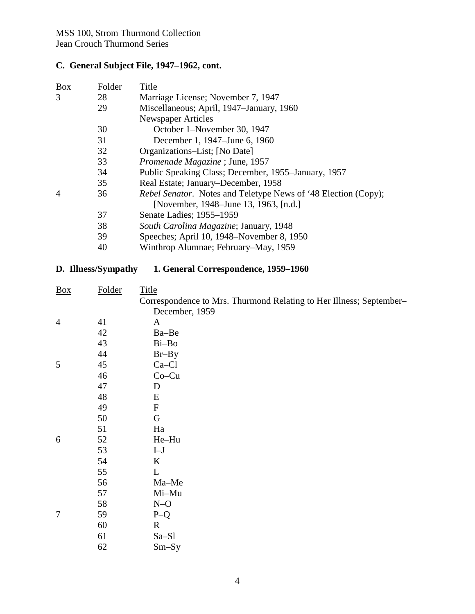### **C. General Subject File, 1947–1962, cont.**

| <b>Box</b>     | Folder | Title                                                                 |
|----------------|--------|-----------------------------------------------------------------------|
| 3              | 28     | Marriage License; November 7, 1947                                    |
|                | 29     | Miscellaneous; April, 1947–January, 1960                              |
|                |        | <b>Newspaper Articles</b>                                             |
|                | 30     | October 1–November 30, 1947                                           |
|                | 31     | December 1, 1947–June 6, 1960                                         |
|                | 32     | Organizations–List; [No Date]                                         |
|                | 33     | Promenade Magazine; June, 1957                                        |
|                | 34     | Public Speaking Class; December, 1955–January, 1957                   |
|                | 35     | Real Estate; January-December, 1958                                   |
| $\overline{A}$ | 36     | <i>Rebel Senator.</i> Notes and Teletype News of '48 Election (Copy); |
|                |        | [November, 1948–June 13, 1963, [n.d.]                                 |
|                | 37     | Senate Ladies; 1955–1959                                              |
|                | 38     | South Carolina Magazine; January, 1948                                |
|                | 39     | Speeches; April 10, 1948–November 8, 1950                             |
|                | 40     | Winthrop Alumnae; February–May, 1959                                  |
|                |        |                                                                       |

#### **D. Illness/Sympathy 1. General Correspondence, 1959–1960**

| $\frac{Box}{\sqrt{Box}}$ | Folder | <b>Title</b>                                                        |
|--------------------------|--------|---------------------------------------------------------------------|
|                          |        | Correspondence to Mrs. Thurmond Relating to Her Illness; September- |
|                          |        | December, 1959                                                      |
| $\overline{4}$           | 41     | A                                                                   |
|                          | 42     | Ba-Be                                                               |
|                          | 43     | Bi-Bo                                                               |
|                          | 44     | $Br-By$                                                             |
| 5                        | 45     | Ca-Cl                                                               |
|                          | 46     | $Co-Cu$                                                             |
|                          | 47     | D                                                                   |
|                          | 48     | E                                                                   |
|                          | 49     | $\mathbf{F}$                                                        |
|                          | 50     | G                                                                   |
|                          | 51     | Ha                                                                  |
| 6                        | 52     | He-Hu                                                               |
|                          | 53     | $I-J$                                                               |
|                          | 54     | K                                                                   |
|                          | 55     | L                                                                   |
|                          | 56     | Ma-Me                                                               |
|                          | 57     | Mi-Mu                                                               |
|                          | 58     | $N-O$                                                               |
| $\overline{7}$           | 59     | $P-Q$                                                               |
|                          | 60     | $\mathbf R$                                                         |
|                          | 61     | Sa-Sl                                                               |
|                          | 62     | $Sm-Sy$                                                             |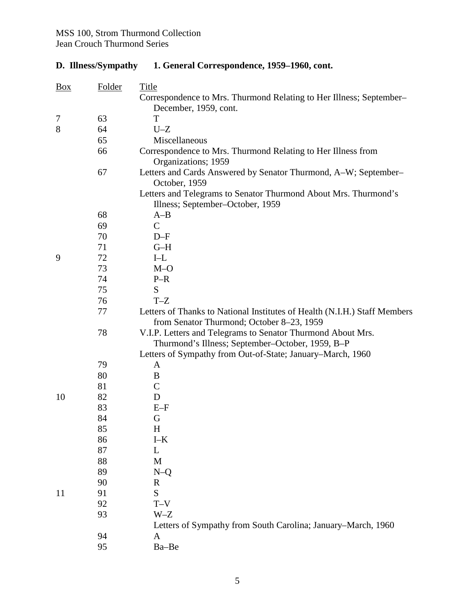# **D. Illness/Sympathy 1. General Correspondence, 1959–1960, cont.**

| $\frac{Box}{}$ | Folder   | <b>Title</b>                                                              |
|----------------|----------|---------------------------------------------------------------------------|
|                |          | Correspondence to Mrs. Thurmond Relating to Her Illness; September-       |
|                |          | December, 1959, cont.                                                     |
| 7              | 63       | T                                                                         |
| 8              | 64       | $U-Z$                                                                     |
|                | 65       | Miscellaneous                                                             |
|                | 66       | Correspondence to Mrs. Thurmond Relating to Her Illness from              |
|                |          | Organizations; 1959                                                       |
|                | 67       | Letters and Cards Answered by Senator Thurmond, A–W; September–           |
|                |          | October, 1959                                                             |
|                |          | Letters and Telegrams to Senator Thurmond About Mrs. Thurmond's           |
|                |          | Illness; September-October, 1959                                          |
|                | 68       | $A-B$<br>$\mathbf C$                                                      |
|                | 69       |                                                                           |
|                | 70       | $D-F$                                                                     |
| 9              | 71       | $G-H$<br>$I-L$                                                            |
|                | 72<br>73 | $M-O$                                                                     |
|                | 74       | $P-R$                                                                     |
|                | 75       | S                                                                         |
|                | 76       | $T-Z$                                                                     |
|                | 77       | Letters of Thanks to National Institutes of Health (N.I.H.) Staff Members |
|                |          | from Senator Thurmond; October 8-23, 1959                                 |
|                | 78       | V.I.P. Letters and Telegrams to Senator Thurmond About Mrs.               |
|                |          | Thurmond's Illness; September-October, 1959, B-P                          |
|                |          | Letters of Sympathy from Out-of-State; January-March, 1960                |
|                | 79       | A                                                                         |
|                | 80       | B                                                                         |
|                | 81       | $\mathsf{C}$                                                              |
| 10             | 82       | D                                                                         |
|                | 83       | $E-F$                                                                     |
|                | 84       | G                                                                         |
|                | 85       | $H_{\rm}$                                                                 |
|                | 86       | $I-K$                                                                     |
|                | 87       | L                                                                         |
|                | 88       | M                                                                         |
|                | 89       | $N-Q$                                                                     |
|                | 90       | $\mathbf{R}$                                                              |
| 11             | 91       | S                                                                         |
|                | 92       | $T - V$                                                                   |
|                | 93       | $W-Z$                                                                     |
|                |          | Letters of Sympathy from South Carolina; January–March, 1960              |
|                | 94       | $\mathbf{A}$                                                              |
|                | 95       | Ba-Be                                                                     |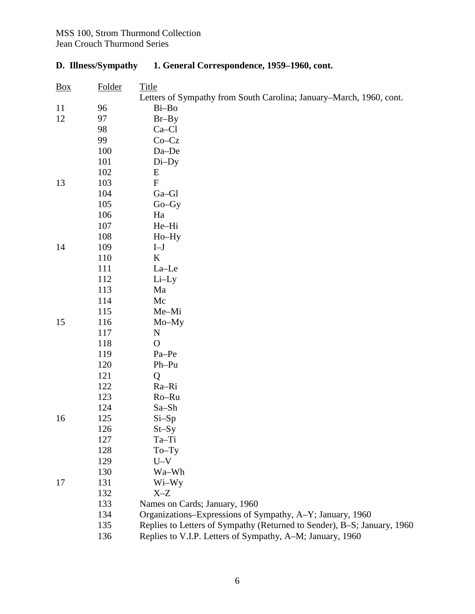## **D. Illness/Sympathy 1. General Correspondence, 1959–1960, cont.**

| $\frac{Box}{}$ | Folder | Title                                                                   |
|----------------|--------|-------------------------------------------------------------------------|
|                |        | Letters of Sympathy from South Carolina; January–March, 1960, cont.     |
| 11             | 96     | Bi-Bo                                                                   |
| 12             | 97     | $Br-By$                                                                 |
|                | 98     | $Ca-C1$                                                                 |
|                | 99     | $Co-Cz$                                                                 |
|                | 100    | Da-De                                                                   |
|                | 101    | $Di$ -Dy                                                                |
|                | 102    | Е                                                                       |
| 13             | 103    | ${\bf F}$                                                               |
|                | 104    | Ga-Gl                                                                   |
|                | 105    | $Go-Gy$                                                                 |
|                | 106    | Ha                                                                      |
|                | 107    | He-Hi                                                                   |
|                | 108    | Ho-Hy                                                                   |
| 14             | 109    | $\mathbf{I}\mathbf{-J}$                                                 |
|                | 110    | K                                                                       |
|                | 111    | La-Le                                                                   |
|                | 112    | $Li$ -Ly                                                                |
|                | 113    | Ma                                                                      |
|                | 114    | Mc                                                                      |
|                | 115    | Me-Mi                                                                   |
| 15             | 116    | Mo-My                                                                   |
|                | 117    | N                                                                       |
|                | 118    | $\mathbf{O}$                                                            |
|                | 119    | Pa-Pe                                                                   |
|                | 120    | $Ph-Pu$                                                                 |
|                | 121    | Q                                                                       |
|                | 122    | Ra-Ri                                                                   |
|                | 123    | Ro-Ru                                                                   |
|                | 124    | Sa-Sh                                                                   |
| 16             | 125    | $Si-Sp$                                                                 |
|                | 126    | $St-Sy$                                                                 |
|                | 127    | Ta-Ti                                                                   |
|                | 128    | $To-Ty$                                                                 |
|                | 129    | $U-V$                                                                   |
|                | 130    | Wa-Wh                                                                   |
| 17             | 131    | Wi-Wy                                                                   |
|                | 132    | $X-Z$                                                                   |
|                | 133    | Names on Cards; January, 1960                                           |
|                | 134    | Organizations–Expressions of Sympathy, A–Y; January, 1960               |
|                | 135    | Replies to Letters of Sympathy (Returned to Sender), B-S; January, 1960 |
|                | 136    | Replies to V.I.P. Letters of Sympathy, A-M; January, 1960               |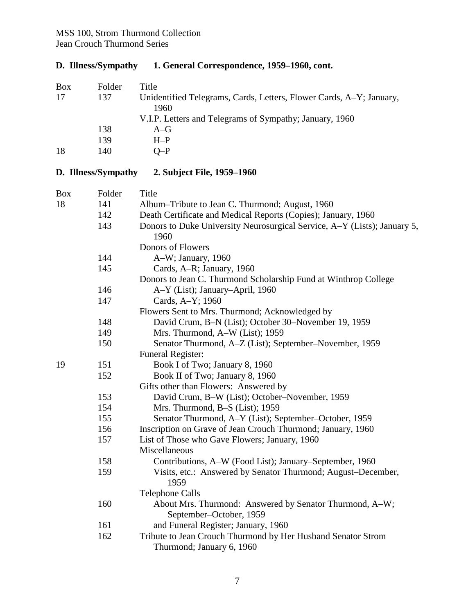## **D. Illness/Sympathy 1. General Correspondence, 1959–1960, cont.**

| Folder | Title                                                               |
|--------|---------------------------------------------------------------------|
| 137    | Unidentified Telegrams, Cards, Letters, Flower Cards, A-Y; January, |
|        | 1960                                                                |
|        | V.I.P. Letters and Telegrams of Sympathy; January, 1960             |
| 138    | $A-G$                                                               |
| 139    | $H-P$                                                               |
| 140    | $O-P$                                                               |
|        |                                                                     |

# **D. Illness/Sympathy 2. Subject File, 1959–1960**

| Folder | Title                                                                                     |
|--------|-------------------------------------------------------------------------------------------|
| 141    | Album–Tribute to Jean C. Thurmond; August, 1960                                           |
| 142    | Death Certificate and Medical Reports (Copies); January, 1960                             |
| 143    | Donors to Duke University Neurosurgical Service, A–Y (Lists); January 5,                  |
|        | 1960                                                                                      |
|        | Donors of Flowers                                                                         |
| 144    | A-W; January, 1960                                                                        |
| 145    | Cards, A-R; January, 1960                                                                 |
|        | Donors to Jean C. Thurmond Scholarship Fund at Winthrop College                           |
| 146    | A-Y (List); January-April, 1960                                                           |
| 147    | Cards, A-Y; 1960                                                                          |
|        | Flowers Sent to Mrs. Thurmond; Acknowledged by                                            |
| 148    | David Crum, B-N (List); October 30-November 19, 1959                                      |
| 149    | Mrs. Thurmond, A-W (List); 1959                                                           |
| 150    | Senator Thurmond, A-Z (List); September-November, 1959                                    |
|        | Funeral Register:                                                                         |
| 151    | Book I of Two; January 8, 1960                                                            |
| 152    | Book II of Two; January 8, 1960                                                           |
|        | Gifts other than Flowers: Answered by                                                     |
| 153    | David Crum, B-W (List); October-November, 1959                                            |
| 154    | Mrs. Thurmond, B-S (List); 1959                                                           |
| 155    | Senator Thurmond, A-Y (List); September-October, 1959                                     |
| 156    | Inscription on Grave of Jean Crouch Thurmond; January, 1960                               |
| 157    | List of Those who Gave Flowers; January, 1960                                             |
|        | Miscellaneous                                                                             |
| 158    | Contributions, A-W (Food List); January-September, 1960                                   |
| 159    | Visits, etc.: Answered by Senator Thurmond; August–December,<br>1959                      |
|        | <b>Telephone Calls</b>                                                                    |
| 160    | About Mrs. Thurmond: Answered by Senator Thurmond, A-W;<br>September-October, 1959        |
| 161    | and Funeral Register; January, 1960                                                       |
| 162    | Tribute to Jean Crouch Thurmond by Her Husband Senator Strom<br>Thurmond; January 6, 1960 |
|        |                                                                                           |